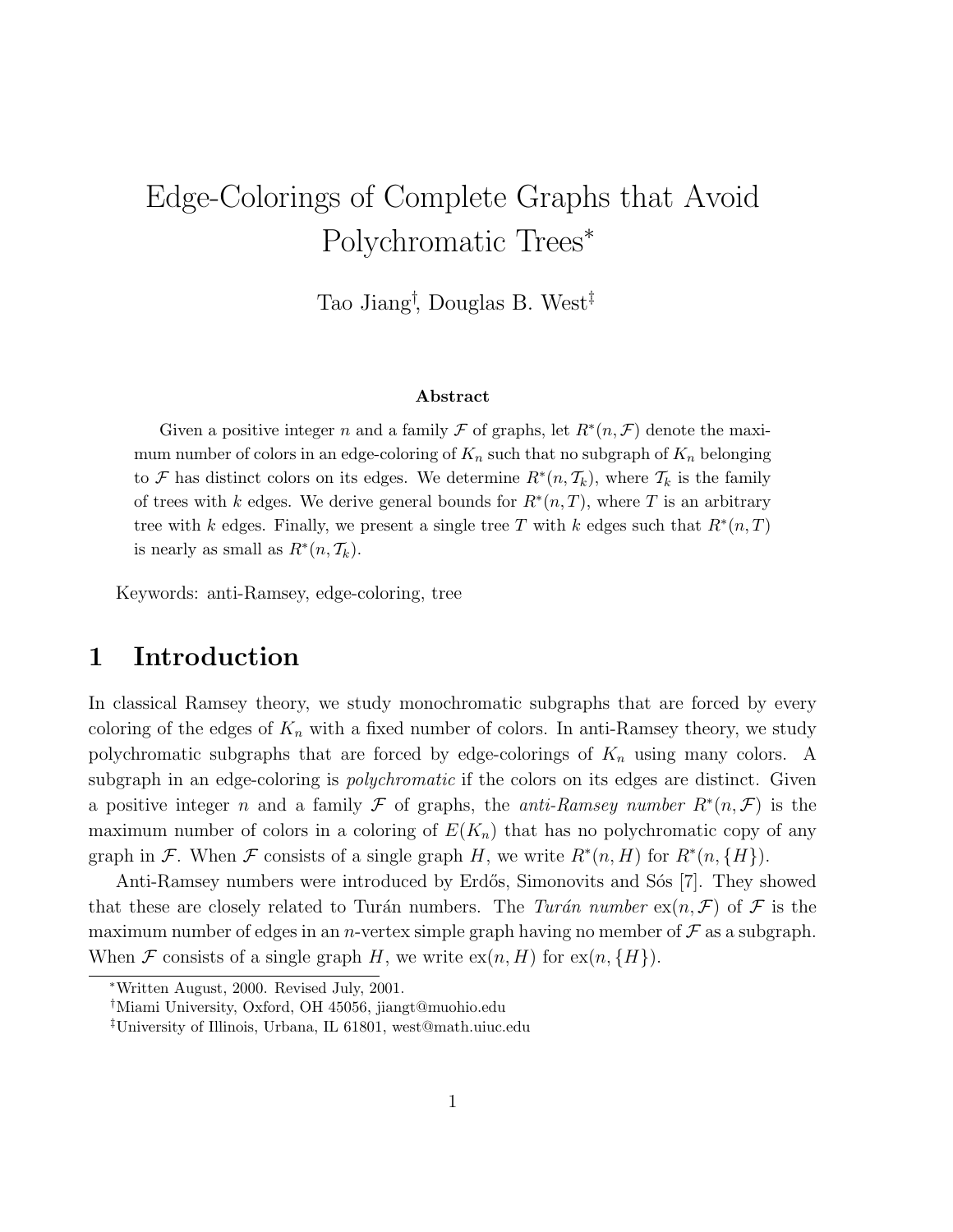# Edge-Colorings of Complete Graphs that Avoid Polychromatic Trees<sup>∗</sup>

Tao Jiang† , Douglas B. West‡

#### Abstract

Given a positive integer n and a family  $\mathcal F$  of graphs, let  $R^*(n, \mathcal F)$  denote the maximum number of colors in an edge-coloring of  $K_n$  such that no subgraph of  $K_n$  belonging to F has distinct colors on its edges. We determine  $R^*(n, \mathcal{T}_k)$ , where  $\mathcal{T}_k$  is the family of trees with k edges. We derive general bounds for  $R^*(n, T)$ , where T is an arbitrary tree with k edges. Finally, we present a single tree T with k edges such that  $R^*(n, T)$ is nearly as small as  $R^*(n, \mathcal{T}_k)$ .

Keywords: anti-Ramsey, edge-coloring, tree

## 1 Introduction

In classical Ramsey theory, we study monochromatic subgraphs that are forced by every coloring of the edges of  $K_n$  with a fixed number of colors. In anti-Ramsey theory, we study polychromatic subgraphs that are forced by edge-colorings of  $K_n$  using many colors. A subgraph in an edge-coloring is *polychromatic* if the colors on its edges are distinct. Given a positive integer n and a family F of graphs, the *anti-Ramsey number*  $R^*(n, \mathcal{F})$  is the maximum number of colors in a coloring of  $E(K_n)$  that has no polychromatic copy of any graph in F. When F consists of a single graph H, we write  $R^*(n, H)$  for  $R^*(n, \{H\})$ .

Anti-Ramsey numbers were introduced by Erdős, Simonovits and Sós [7]. They showed that these are closely related to Turán numbers. The Turán number  $ex(n, \mathcal{F})$  of  $\mathcal F$  is the maximum number of edges in an *n*-vertex simple graph having no member of  $\mathcal F$  as a subgraph. When F consists of a single graph H, we write  $ex(n, H)$  for  $ex(n, {H})$ .

<sup>∗</sup>Written August, 2000. Revised July, 2001.

<sup>†</sup>Miami University, Oxford, OH 45056, jiangt@muohio.edu

<sup>‡</sup>University of Illinois, Urbana, IL 61801, west@math.uiuc.edu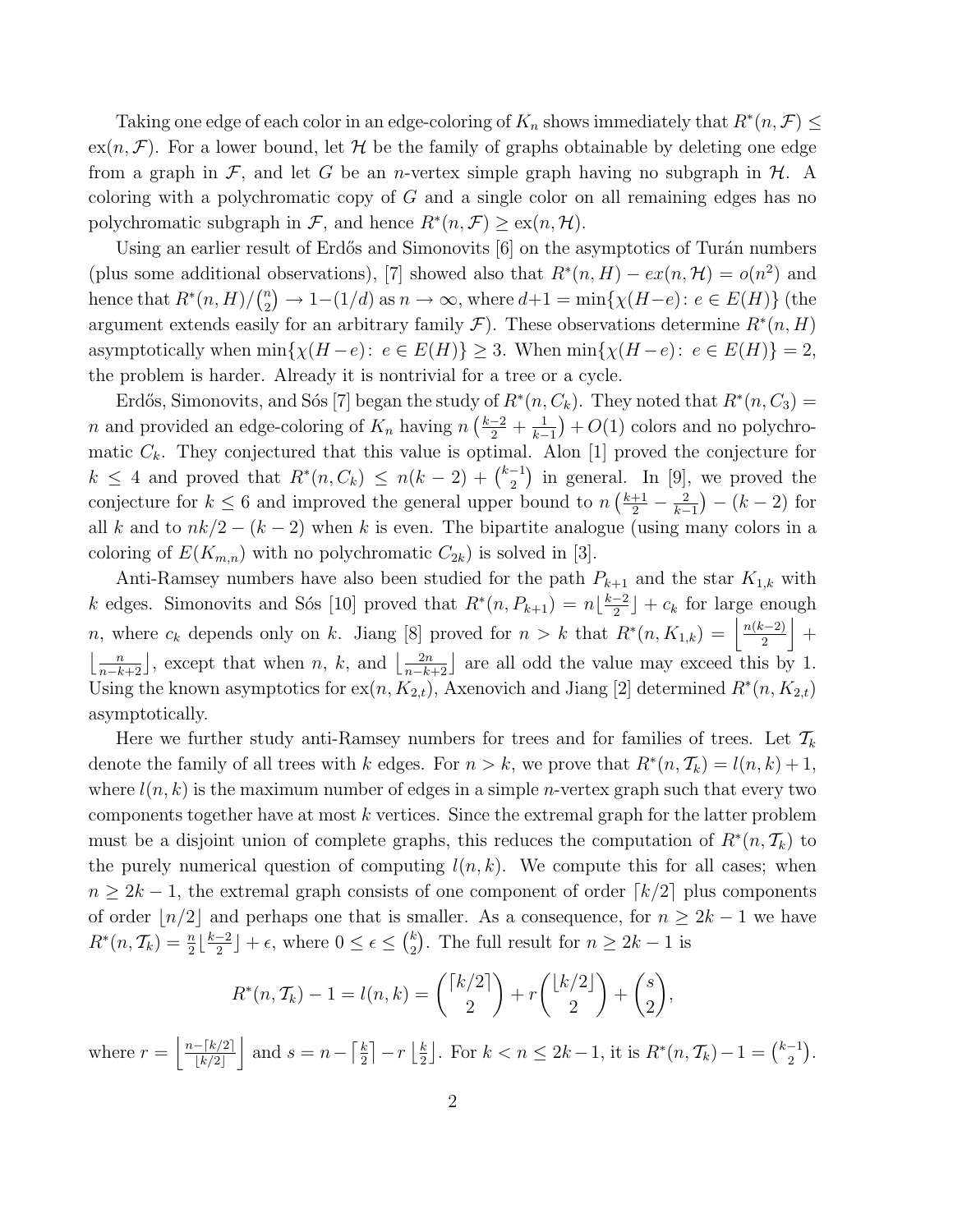Taking one edge of each color in an edge-coloring of  $K_n$  shows immediately that  $R^*(n, \mathcal{F}) \leq$  $ex(n, \mathcal{F})$ . For a lower bound, let H be the family of graphs obtainable by deleting one edge from a graph in F, and let G be an *n*-vertex simple graph having no subgraph in H. A coloring with a polychromatic copy of  $G$  and a single color on all remaining edges has no polychromatic subgraph in F, and hence  $R^*(n, \mathcal{F}) \geq \text{ex}(n, \mathcal{H})$ .

Using an earlier result of Erdős and Simonovits  $[6]$  on the asymptotics of Turán numbers (plus some additional observations), [7] showed also that  $R^*(n, H) - ex(n, \mathcal{H}) = o(n^2)$  and hence that  $R^*(n,H)/\binom{n}{2}$  $\binom{n}{2} \to 1-(1/d)$  as  $n \to \infty$ , where  $d+1 = \min\{\chi(H-e) : e \in E(H)\}\$  (the argument extends easily for an arbitrary family  $\mathcal{F}$ ). These observations determine  $R^*(n, H)$ asymptotically when  $\min\{\chi(H-e): e \in E(H)\} \geq 3$ . When  $\min\{\chi(H-e): e \in E(H)\} = 2$ , the problem is harder. Already it is nontrivial for a tree or a cycle.

Erdős, Simonovits, and Sós [7] began the study of  $R^*(n, C_k)$ . They noted that  $R^*(n, C_3)$  = n and provided an edge-coloring of  $K_n$  having  $n\left(\frac{k-2}{2} + \frac{1}{k-1}\right) + O(1)$  colors and no polychromatic  $C_k$ . They conjectured that this value is optimal. Alon [1] proved the conjecture for  $k \leq 4$  and proved that  $R^*(n, C_k) \leq n(k-2) + \binom{k-1}{2}$  $\binom{-1}{2}$  in general. In [9], we proved the conjecture for  $k \leq 6$  and improved the general upper bound to  $n\left(\frac{k+1}{2} - \frac{2}{k-1}\right) - (k-2)$  for all k and to  $nk/2 - (k-2)$  when k is even. The bipartite analogue (using many colors in a coloring of  $E(K_{m,n})$  with no polychromatic  $C_{2k}$ ) is solved in [3].

Anti-Ramsey numbers have also been studied for the path  $P_{k+1}$  and the star  $K_{1,k}$  with k edges. Simonovits and Sós [10] proved that  $R^*(n, P_{k+1}) = n \left\lfloor \frac{k-2}{2} \right\rfloor$  $\frac{-2}{2}$  +  $c_k$  for large enough n, where  $c_k$  depends only on k. Jiang [8] proved for  $n > k$  that  $R^*(n, K_{1,k}) = \left\lfloor \frac{n(k-2)}{2} \right\rfloor$  $\frac{(-2)}{2}$  +  $\left\lfloor \frac{n}{n-k+2} \right\rfloor$ , except that when n, k, and  $\left\lfloor \frac{2n}{n-k+2} \right\rfloor$  are all odd the value may exceed this by 1. Using the known asymptotics for  $ex(n, K_{2,t})$ , Axenovich and Jiang [2] determined  $R^*(n, K_{2,t})$ asymptotically.

Here we further study anti-Ramsey numbers for trees and for families of trees. Let  $\mathcal{T}_k$ denote the family of all trees with k edges. For  $n > k$ , we prove that  $R^*(n, \mathcal{T}_k) = l(n, k) + 1$ , where  $l(n, k)$  is the maximum number of edges in a simple *n*-vertex graph such that every two components together have at most  $k$  vertices. Since the extremal graph for the latter problem must be a disjoint union of complete graphs, this reduces the computation of  $R^*(n, \mathcal{T}_k)$  to the purely numerical question of computing  $l(n, k)$ . We compute this for all cases; when  $n \geq 2k-1$ , the extremal graph consists of one component of order  $\lceil k/2 \rceil$  plus components of order  $|n/2|$  and perhaps one that is smaller. As a consequence, for  $n \geq 2k - 1$  we have  $R^*(n, \mathcal{T}_k) = \frac{n}{2} \lfloor \frac{k-2}{2} \rfloor$  $\frac{-2}{2}$   $+ \epsilon$ , where  $0 \leq \epsilon \leq {k \choose 2}$  $_{2}^{k}$ ). The full result for  $n \geq 2k-1$  is

$$
R^*(n, \mathcal{T}_k) - 1 = l(n, k) = \binom{\lceil k/2 \rceil}{2} + r \binom{\lfloor k/2 \rfloor}{2} + \binom{s}{2},
$$

where  $r = \frac{n-[k/2]}{k^2}$  $\frac{-\lceil k/2 \rceil}{\lceil k/2 \rceil}$  and  $s = n - \lceil \frac{k}{2} \rceil$  $\frac{k}{2}$ ] –  $r\left\lfloor \frac{k}{2} \right\rfloor$  $\frac{k}{2}$ . For  $k < n \leq 2k - 1$ , it is  $R^*(n, \mathcal{T}_k) - 1 = \binom{k-1}{2}$  $\binom{-1}{2}$ .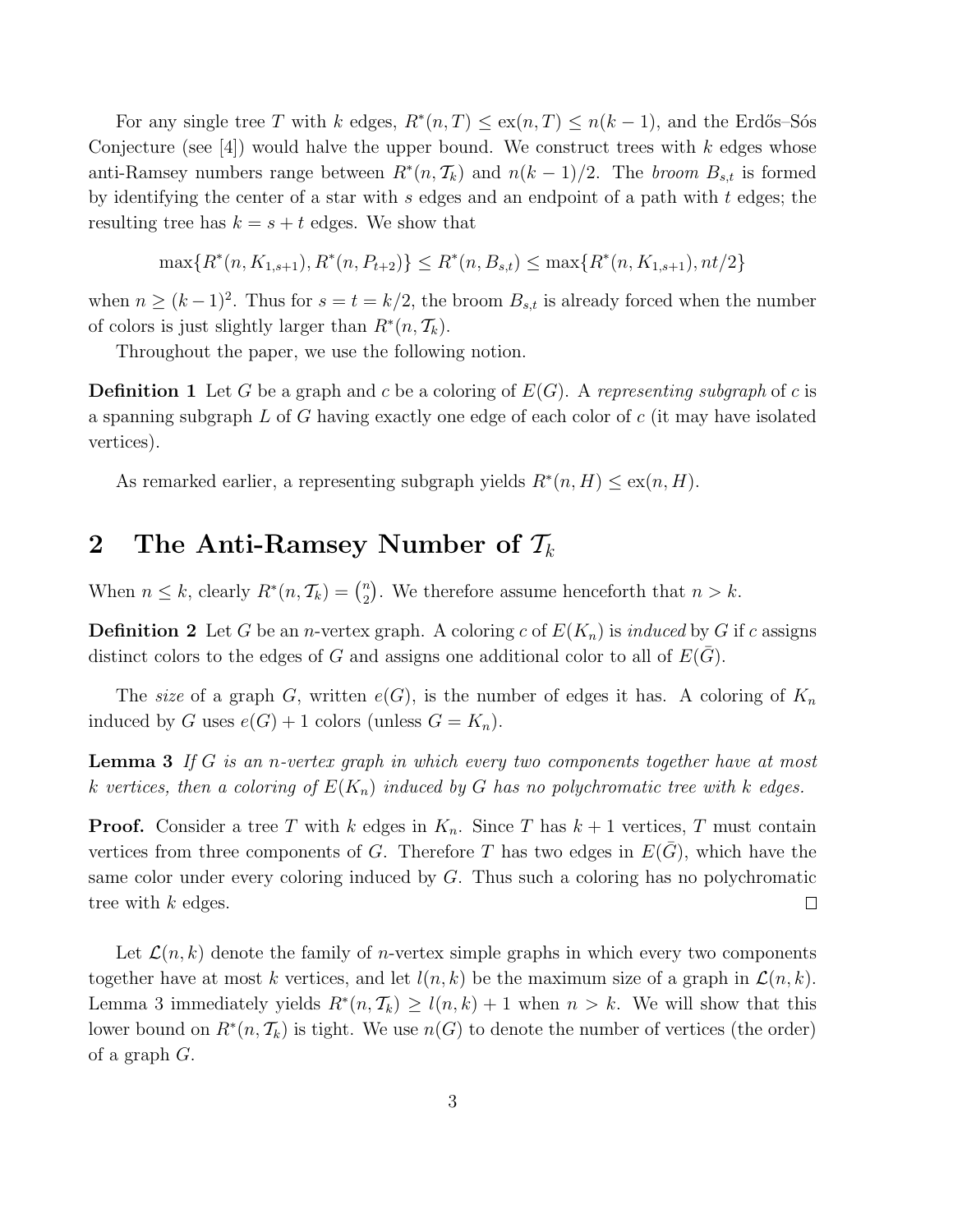For any single tree T with k edges,  $R^*(n,T) \leq \exp(n,T) \leq n(k-1)$ , and the Erdős–Sós Conjecture (see [4]) would halve the upper bound. We construct trees with k edges whose anti-Ramsey numbers range between  $R^*(n, \mathcal{T}_k)$  and  $n(k-1)/2$ . The *broom*  $B_{s,t}$  is formed by identifying the center of a star with  $s$  edges and an endpoint of a path with  $t$  edges; the resulting tree has  $k = s + t$  edges. We show that

$$
\max\{R^*(n, K_{1,s+1}), R^*(n, P_{t+2})\} \le R^*(n, B_{s,t}) \le \max\{R^*(n, K_{1,s+1}), nt/2\}
$$

when  $n \ge (k-1)^2$ . Thus for  $s = t = k/2$ , the broom  $B_{s,t}$  is already forced when the number of colors is just slightly larger than  $R^*(n, \mathcal{T}_k)$ .

Throughout the paper, we use the following notion.

**Definition 1** Let G be a graph and c be a coloring of  $E(G)$ . A representing subgraph of c is a spanning subgraph  $L$  of G having exactly one edge of each color of c (it may have isolated vertices).

As remarked earlier, a representing subgraph yields  $R^*(n, H) \leq \text{ex}(n, H)$ .

# 2 The Anti-Ramsey Number of  $\mathcal{T}_k$

When  $n \leq k$ , clearly  $R^*(n, \mathcal{T}_k) = \binom{n}{2}$  $n \choose 2$ . We therefore assume henceforth that  $n > k$ .

**Definition 2** Let G be an *n*-vertex graph. A coloring c of  $E(K_n)$  is induced by G if c assigns distinct colors to the edges of G and assigns one additional color to all of  $E(G)$ .

The size of a graph G, written  $e(G)$ , is the number of edges it has. A coloring of  $K_n$ induced by G uses  $e(G) + 1$  colors (unless  $G = K_n$ ).

**Lemma 3** If  $G$  is an n-vertex graph in which every two components together have at most k vertices, then a coloring of  $E(K_n)$  induced by G has no polychromatic tree with k edges.

**Proof.** Consider a tree T with k edges in  $K_n$ . Since T has  $k+1$  vertices, T must contain vertices from three components of G. Therefore T has two edges in  $E(G)$ , which have the same color under every coloring induced by  $G$ . Thus such a coloring has no polychromatic tree with k edges.  $\Box$ 

Let  $\mathcal{L}(n, k)$  denote the family of *n*-vertex simple graphs in which every two components together have at most k vertices, and let  $l(n, k)$  be the maximum size of a graph in  $\mathcal{L}(n, k)$ . Lemma 3 immediately yields  $R^*(n, \mathcal{T}_k) \ge l(n, k) + 1$  when  $n > k$ . We will show that this lower bound on  $R^*(n, \mathcal{T}_k)$  is tight. We use  $n(G)$  to denote the number of vertices (the order) of a graph G.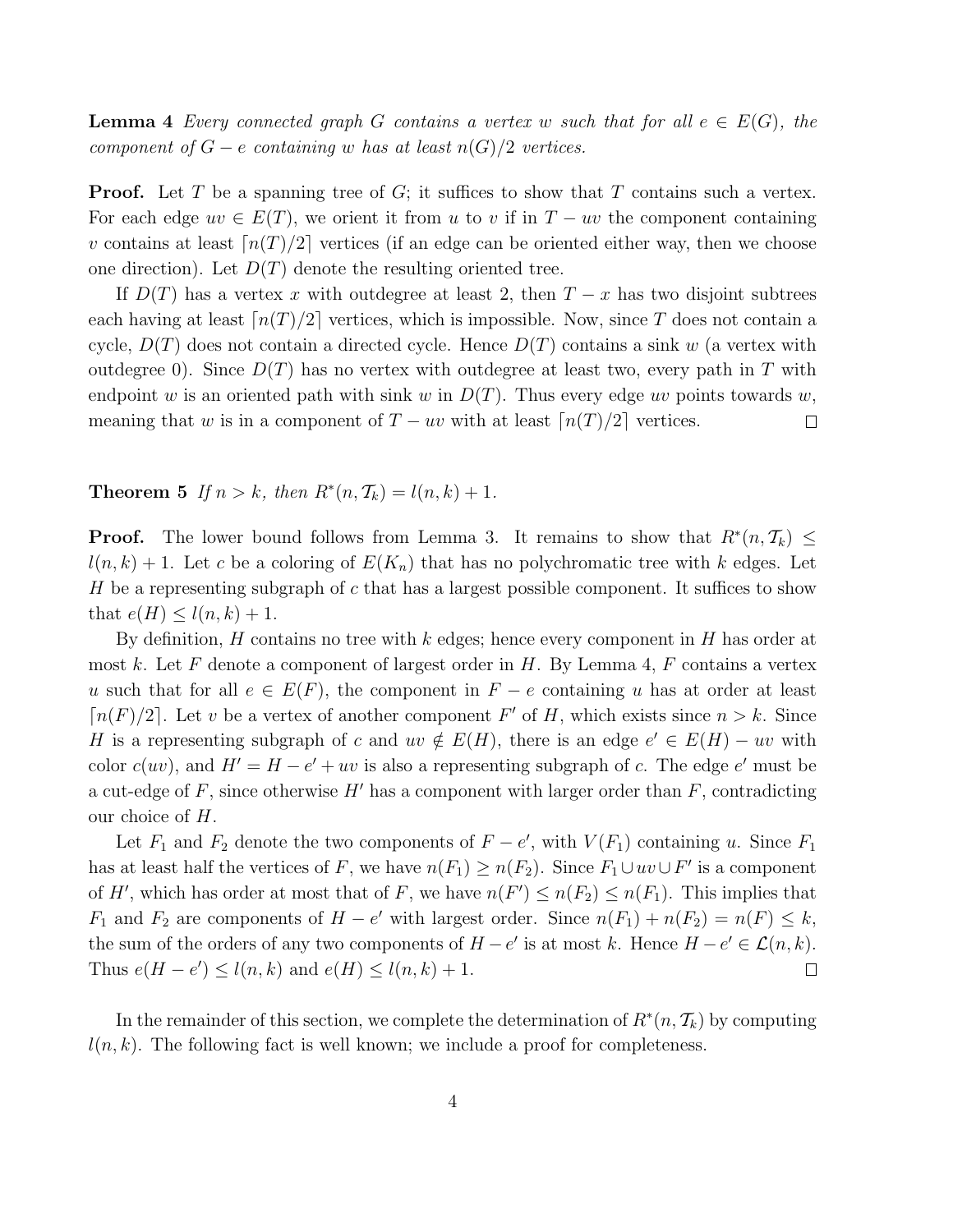**Lemma 4** Every connected graph G contains a vertex w such that for all  $e \in E(G)$ , the component of  $G - e$  containing w has at least  $n(G)/2$  vertices.

**Proof.** Let T be a spanning tree of G; it suffices to show that T contains such a vertex. For each edge  $uv \in E(T)$ , we orient it from u to v if in  $T - uv$  the component containing v contains at least  $\lceil n(T)/2 \rceil$  vertices (if an edge can be oriented either way, then we choose one direction). Let  $D(T)$  denote the resulting oriented tree.

If  $D(T)$  has a vertex x with outdegree at least 2, then  $T - x$  has two disjoint subtrees each having at least  $\lceil n(T)/2 \rceil$  vertices, which is impossible. Now, since T does not contain a cycle,  $D(T)$  does not contain a directed cycle. Hence  $D(T)$  contains a sink w (a vertex with outdegree 0). Since  $D(T)$  has no vertex with outdegree at least two, every path in T with endpoint w is an oriented path with sink w in  $D(T)$ . Thus every edge uv points towards w, meaning that w is in a component of  $T - uv$  with at least  $\lceil n(T)/2 \rceil$  vertices.  $\Box$ 

**Theorem 5** If  $n > k$ , then  $R^*(n, \mathcal{T}_k) = l(n, k) + 1$ .

**Proof.** The lower bound follows from Lemma 3. It remains to show that  $R^*(n, \mathcal{T}_k) \leq$  $l(n, k) + 1$ . Let c be a coloring of  $E(K_n)$  that has no polychromatic tree with k edges. Let H be a representing subgraph of  $c$  that has a largest possible component. It suffices to show that  $e(H) \leq l(n,k) + 1$ .

By definition, H contains no tree with  $k$  edges; hence every component in H has order at most k. Let F denote a component of largest order in H. By Lemma 4, F contains a vertex u such that for all  $e \in E(F)$ , the component in  $F - e$  containing u has at order at least  $\lceil n(F)/2 \rceil$ . Let v be a vertex of another component F' of H, which exists since  $n > k$ . Since H is a representing subgraph of c and  $uv \notin E(H)$ , there is an edge  $e' \in E(H) - uv$  with color  $c(uv)$ , and  $H' = H - e' + uv$  is also a representing subgraph of c. The edge e' must be a cut-edge of F, since otherwise  $H'$  has a component with larger order than F, contradicting our choice of H.

Let  $F_1$  and  $F_2$  denote the two components of  $F - e'$ , with  $V(F_1)$  containing u. Since  $F_1$ has at least half the vertices of F, we have  $n(F_1) \ge n(F_2)$ . Since  $F_1 \cup uv \cup F'$  is a component of H', which has order at most that of F, we have  $n(F') \le n(F_2) \le n(F_1)$ . This implies that  $F_1$  and  $F_2$  are components of  $H - e'$  with largest order. Since  $n(F_1) + n(F_2) = n(F) \leq k$ , the sum of the orders of any two components of  $H - e'$  is at most k. Hence  $H - e' \in \mathcal{L}(n, k)$ . Thus  $e(H - e') \le l(n, k)$  and  $e(H) \le l(n, k) + 1$ .  $\Box$ 

In the remainder of this section, we complete the determination of  $R^*(n, \mathcal{T}_k)$  by computing  $l(n, k)$ . The following fact is well known; we include a proof for completeness.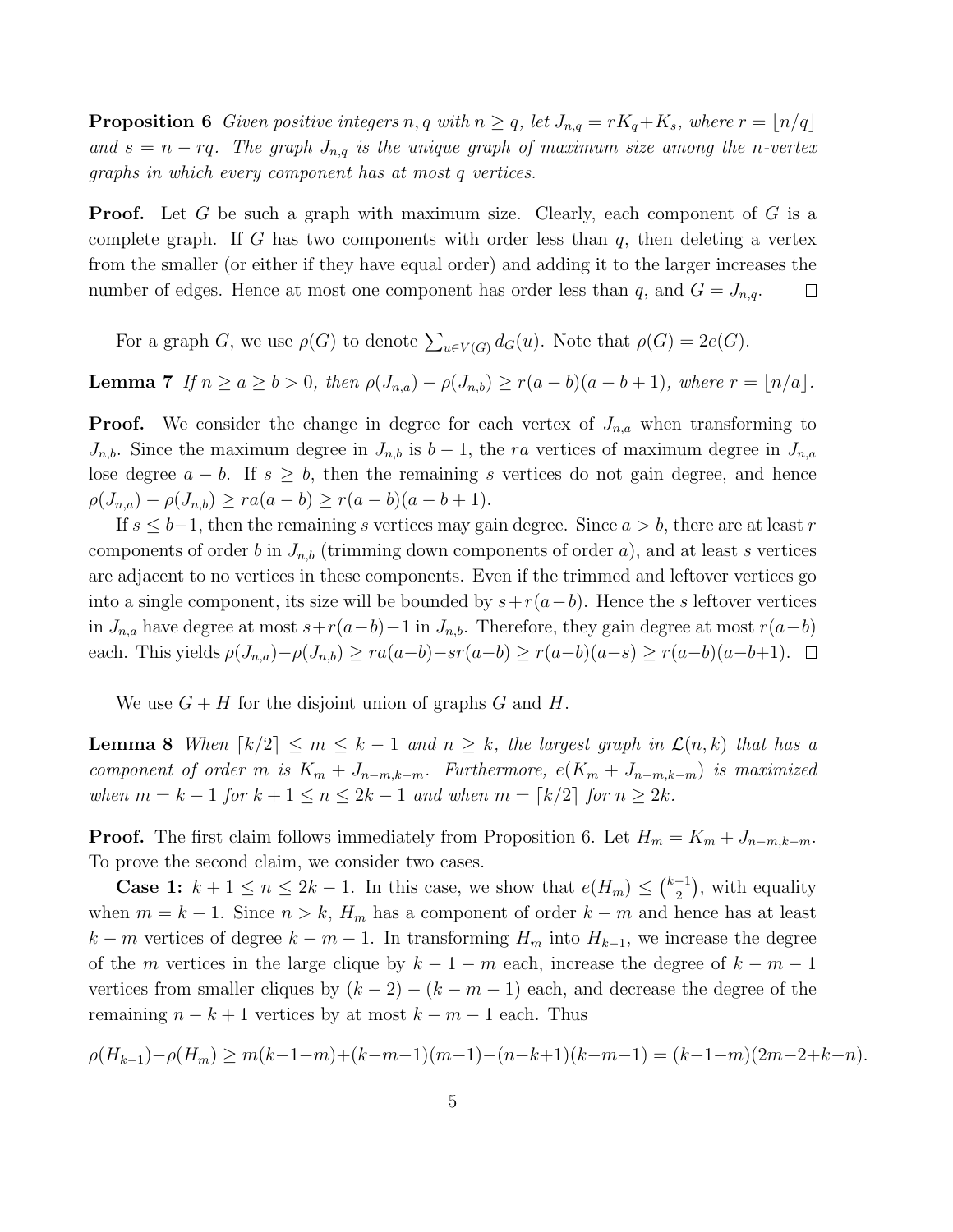**Proposition 6** Given positive integers n, q with  $n \geq q$ , let  $J_{n,q} = rK_q + K_s$ , where  $r = \lfloor n/q \rfloor$ and  $s = n - rq$ . The graph  $J_{n,q}$  is the unique graph of maximum size among the n-vertex graphs in which every component has at most q vertices.

**Proof.** Let G be such a graph with maximum size. Clearly, each component of G is a complete graph. If G has two components with order less than  $q$ , then deleting a vertex from the smaller (or either if they have equal order) and adding it to the larger increases the number of edges. Hence at most one component has order less than q, and  $G = J_{n,q}$ .  $\Box$ 

For a graph G, we use  $\rho(G)$  to denote  $\sum_{u \in V(G)} d_G(u)$ . Note that  $\rho(G) = 2e(G)$ .

**Lemma 7** If  $n \ge a \ge b > 0$ , then  $\rho(J_{n,a}) - \rho(J_{n,b}) \ge r(a-b)(a-b+1)$ , where  $r = \lfloor n/a \rfloor$ .

**Proof.** We consider the change in degree for each vertex of  $J_{n,a}$  when transforming to  $J_{n,b}$ . Since the maximum degree in  $J_{n,b}$  is  $b-1$ , the ra vertices of maximum degree in  $J_{n,a}$ lose degree  $a - b$ . If  $s \geq b$ , then the remaining s vertices do not gain degree, and hence  $\rho(J_{n,a}) - \rho(J_{n,b}) \geq ra(a-b) \geq r(a-b)(a-b+1).$ 

If  $s \leq b-1$ , then the remaining s vertices may gain degree. Since  $a > b$ , there are at least r components of order b in  $J_{n,b}$  (trimming down components of order a), and at least s vertices are adjacent to no vertices in these components. Even if the trimmed and leftover vertices go into a single component, its size will be bounded by  $s+r(a-b)$ . Hence the s leftover vertices in  $J_{n,a}$  have degree at most  $s+r(a-b)-1$  in  $J_{n,b}$ . Therefore, they gain degree at most  $r(a-b)$ each. This yields  $\rho(J_{n,a})-\rho(J_{n,b}) \geq ra(a-b)-sr(a-b) \geq r(a-b)(a-s) \geq r(a-b)(a-b+1)$ .  $\Box$ 

We use  $G + H$  for the disjoint union of graphs G and H.

**Lemma 8** When  $\lceil k/2 \rceil \leq m \leq k-1$  and  $n \geq k$ , the largest graph in  $\mathcal{L}(n, k)$  that has a component of order m is  $K_m + J_{n-m,k-m}$ . Furthermore,  $e(K_m + J_{n-m,k-m})$  is maximized when  $m = k - 1$  for  $k + 1 \le n \le 2k - 1$  and when  $m = \lceil k/2 \rceil$  for  $n \ge 2k$ .

**Proof.** The first claim follows immediately from Proposition 6. Let  $H_m = K_m + J_{n-m,k-m}$ . To prove the second claim, we consider two cases.

**Case 1:**  $k + 1 \leq n \leq 2k - 1$ . In this case, we show that  $e(H_m) \leq {k-1 \choose 2}$  $\binom{-1}{2}$ , with equality when  $m = k - 1$ . Since  $n > k$ ,  $H_m$  has a component of order  $k - m$  and hence has at least  $k - m$  vertices of degree  $k - m - 1$ . In transforming  $H_m$  into  $H_{k-1}$ , we increase the degree of the m vertices in the large clique by  $k - 1 - m$  each, increase the degree of  $k - m - 1$ vertices from smaller cliques by  $(k-2) - (k-m-1)$  each, and decrease the degree of the remaining  $n - k + 1$  vertices by at most  $k - m - 1$  each. Thus

$$
\rho(H_{k-1})-\rho(H_m)\geq m(k-1-m)+(k-m-1)(m-1)-(n-k+1)(k-m-1)=(k-1-m)(2m-2+k-n).
$$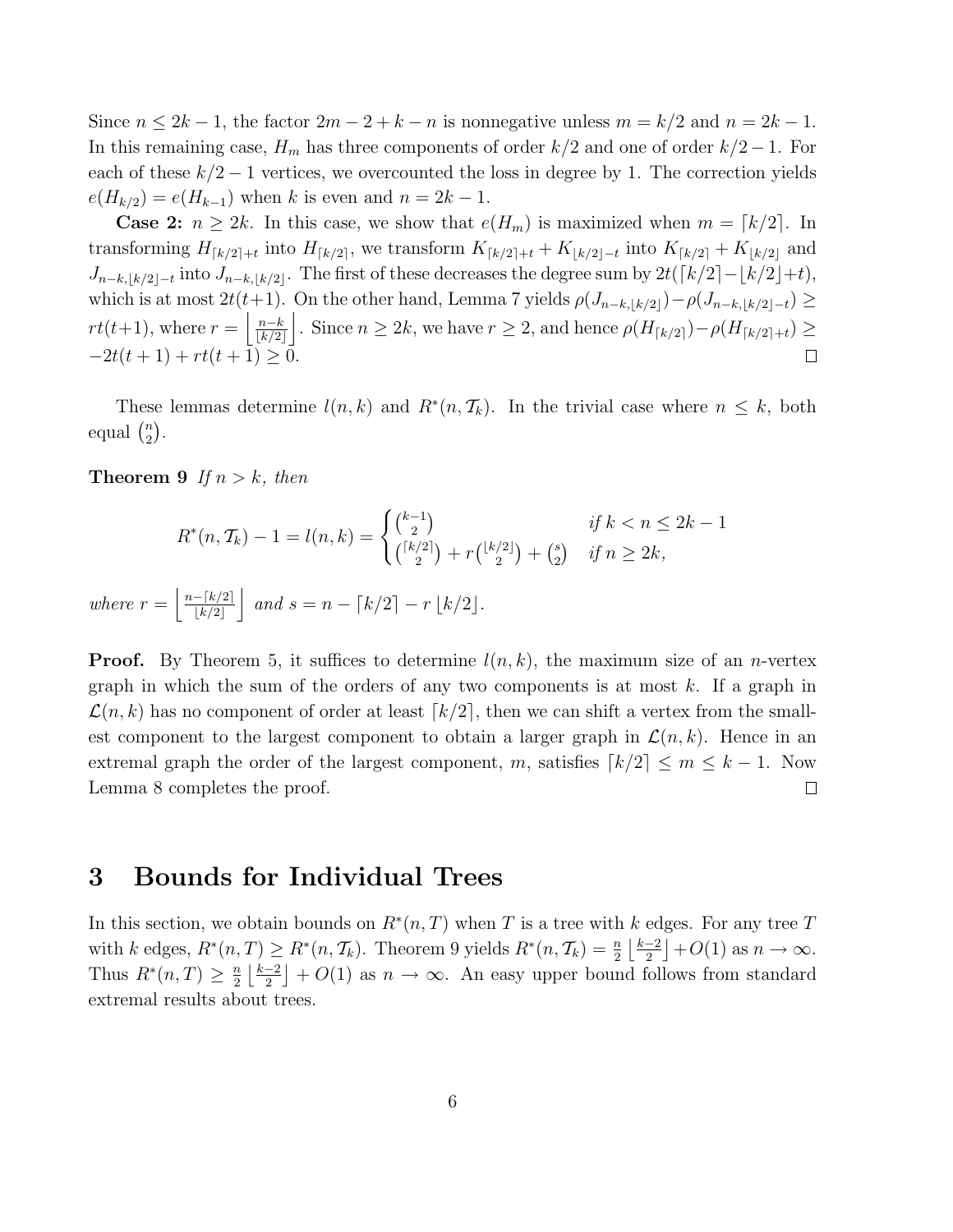Since  $n \leq 2k - 1$ , the factor  $2m - 2 + k - n$  is nonnegative unless  $m = k/2$  and  $n = 2k - 1$ . In this remaining case,  $H_m$  has three components of order  $k/2$  and one of order  $k/2 - 1$ . For each of these  $k/2 - 1$  vertices, we overcounted the loss in degree by 1. The correction yields  $e(H_{k/2}) = e(H_{k-1})$  when k is even and  $n = 2k - 1$ .

**Case 2:**  $n \geq 2k$ . In this case, we show that  $e(H_m)$  is maximized when  $m = \lfloor k/2 \rfloor$ . In transforming  $H_{[k/2]+t}$  into  $H_{[k/2]}$ , we transform  $K_{[k/2]+t} + K_{[k/2]-t}$  into  $K_{[k/2]} + K_{[k/2]}$  and  $J_{n-k,|k/2|-t}$  into  $J_{n-k,|k/2|}$ . The first of these decreases the degree sum by  $2t(\lceil k/2 \rceil - \lfloor k/2 \rfloor + t)$ , which is at most  $2t(t+1)$ . On the other hand, Lemma 7 yields  $\rho(J_{n-k,|k/2|})-\rho(J_{n-k,|k/2|-t})\geq$  $rt(t+1)$ , where  $r = \frac{n-k}{\sqrt{k/2}}$  $\frac{n-k}{|k/2|}$ . Since  $n \ge 2k$ , we have  $r \ge 2$ , and hence  $\rho(H_{\lceil k/2 \rceil}) - \rho(H_{\lceil k/2 \rceil+t}) \ge 2$  $-2t(t+1) + rt(t+1) > 0.$  $\Box$ 

These lemmas determine  $l(n, k)$  and  $R^*(n, \mathcal{T}_k)$ . In the trivial case where  $n \leq k$ , both equal  $\binom{n}{2}$  $\binom{n}{2}$ .

**Theorem 9** If  $n > k$ , then

$$
R^*(n, \mathcal{T}_k) - 1 = l(n, k) = \begin{cases} {k-1 \choose 2} & \text{if } k < n \le 2k - 1\\ {k/2 \choose 2} + r{k/2 \choose 2} + {s \choose 2} & \text{if } n \ge 2k, \end{cases}
$$
\n
$$
where \ r = \left| \frac{n - \lfloor k/2 \rfloor}{\lfloor k/2 \rfloor} \right| \text{ and } s = n - \lfloor k/2 \rfloor - r \lfloor k/2 \rfloor.
$$

**Proof.** By Theorem 5, it suffices to determine  $l(n, k)$ , the maximum size of an *n*-vertex graph in which the sum of the orders of any two components is at most  $k$ . If a graph in  $\mathcal{L}(n, k)$  has no component of order at least  $\lceil k/2 \rceil$ , then we can shift a vertex from the smallest component to the largest component to obtain a larger graph in  $\mathcal{L}(n, k)$ . Hence in an extremal graph the order of the largest component, m, satisfies  $\lceil k/2 \rceil \le m \le k - 1$ . Now Lemma 8 completes the proof.  $\Box$ 

#### 3 Bounds for Individual Trees

In this section, we obtain bounds on  $R^*(n,T)$  when T is a tree with k edges. For any tree T with k edges,  $R^*(n,T) \ge R^*(n,\mathcal{T}_k)$ . Theorem 9 yields  $R^*(n,\mathcal{T}_k) = \frac{n}{2} \left\lfloor \frac{k-2}{2} \right\rfloor$  $\frac{-2}{2}$  + O(1) as  $n \to \infty$ . Thus  $R^*(n,T) \geq \frac{n}{2}$  $\frac{n}{2}$   $\frac{k-2}{2}$  $\left[\frac{-2}{2}\right] + O(1)$  as  $n \to \infty$ . An easy upper bound follows from standard extremal results about trees.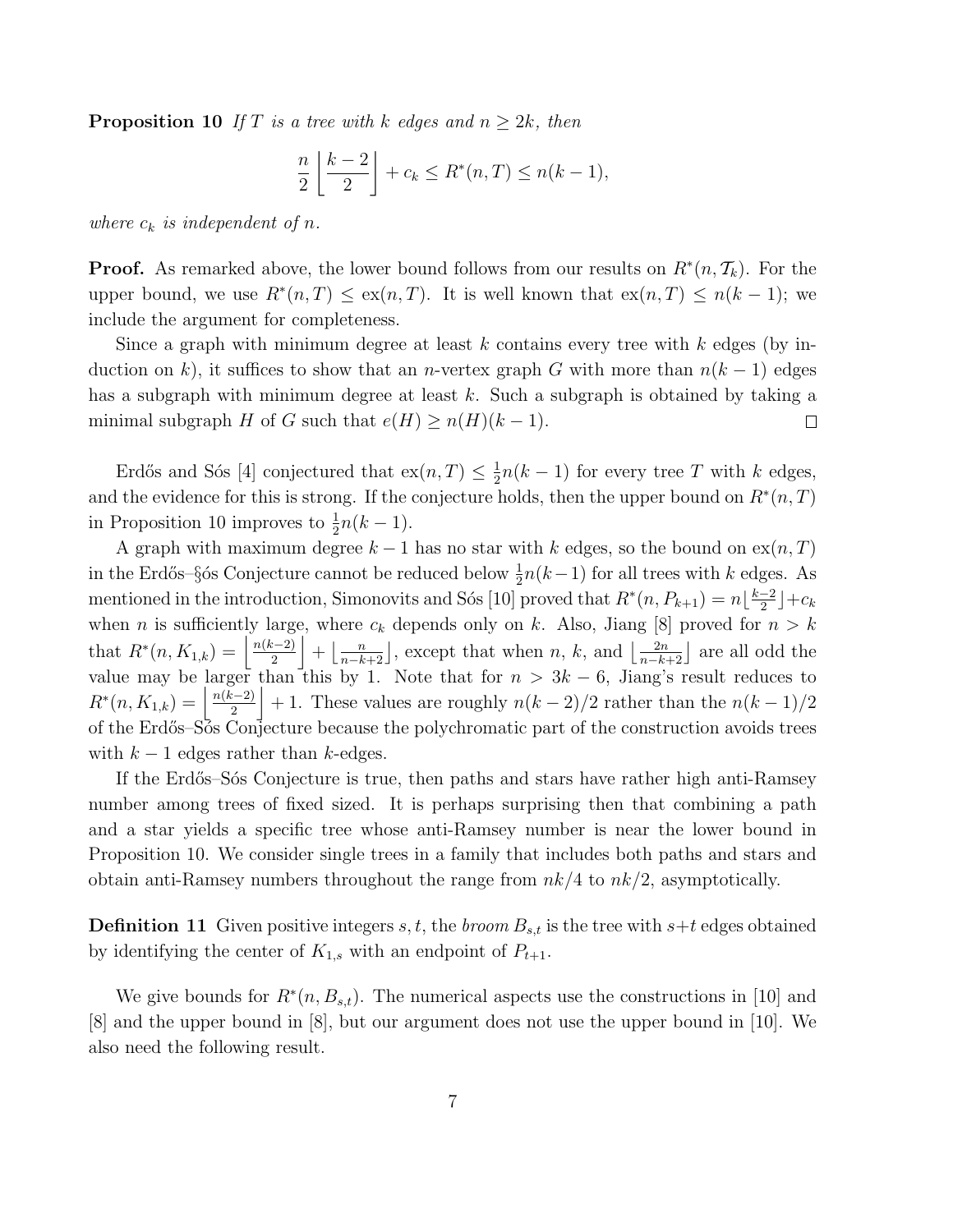**Proposition 10** If T is a tree with k edges and  $n \geq 2k$ , then

$$
\frac{n}{2}\left\lfloor \frac{k-2}{2}\right\rfloor + c_k \le R^*(n,T) \le n(k-1),
$$

where  $c_k$  is independent of n.

**Proof.** As remarked above, the lower bound follows from our results on  $R^*(n, \mathcal{T}_k)$ . For the upper bound, we use  $R^*(n,T) \leq \exp(n,T)$ . It is well known that  $\exp(n,T) \leq n(k-1)$ ; we include the argument for completeness.

Since a graph with minimum degree at least k contains every tree with  $k$  edges (by induction on k), it suffices to show that an n-vertex graph G with more than  $n(k-1)$  edges has a subgraph with minimum degree at least  $k$ . Such a subgraph is obtained by taking a minimal subgraph H of G such that  $e(H) \ge n(H)(k-1)$ .  $\Box$ 

Erdős and Sós [4] conjectured that  $\operatorname{ex}(n, T) \leq \frac{1}{2}$  $\frac{1}{2}n(k-1)$  for every tree T with k edges, and the evidence for this is strong. If the conjecture holds, then the upper bound on  $R^*(n,T)$ in Proposition 10 improves to  $\frac{1}{2}n(k-1)$ .

A graph with maximum degree  $k-1$  has no star with k edges, so the bound on  $ex(n, T)$ in the Erdős–§ós Conjecture cannot be reduced below  $\frac{1}{2}n(k-1)$  for all trees with k edges. As mentioned in the introduction, Simonovits and Sós [10] proved that  $R^*(n, P_{k+1}) = n \lfloor \frac{k-2}{2} \rfloor$  $\frac{-2}{2}$ ]+c<sub>k</sub> when *n* is sufficiently large, where  $c_k$  depends only on k. Also, Jiang [8] proved for  $n > k$ that  $R^*(n, K_{1,k}) = \left| \frac{n(k-2)}{2} \right|$  $\left[\frac{n}{2}\right] + \left[\frac{n}{n-k+2}\right]$ , except that when n, k, and  $\left[\frac{2n}{n-k+2}\right]$  are all odd the value may be larger than this by 1. Note that for  $n > 3k - 6$ , Jiang's result reduces to  $R^*(n, K_{1,k}) = \left\lfloor \frac{n(k-2)}{2} \right\rfloor$  $\frac{2^{(n-2)}}{2}$  + 1. These values are roughly  $n(k-2)/2$  rather than the  $n(k-1)/2$ of the Erd˝os–S´os Conjecture because the polychromatic part of the construction avoids trees with  $k-1$  edges rather than k-edges.

If the Erdős–S $\acute{\text{o}}$ s Conjecture is true, then paths and stars have rather high anti-Ramsey number among trees of fixed sized. It is perhaps surprising then that combining a path and a star yields a specific tree whose anti-Ramsey number is near the lower bound in Proposition 10. We consider single trees in a family that includes both paths and stars and obtain anti-Ramsey numbers throughout the range from  $nk/4$  to  $nk/2$ , asymptotically.

**Definition 11** Given positive integers s, t, the broom  $B_{s,t}$  is the tree with  $s+t$  edges obtained by identifying the center of  $K_{1,s}$  with an endpoint of  $P_{t+1}$ .

We give bounds for  $R^*(n, B_{s,t})$ . The numerical aspects use the constructions in [10] and [8] and the upper bound in [8], but our argument does not use the upper bound in [10]. We also need the following result.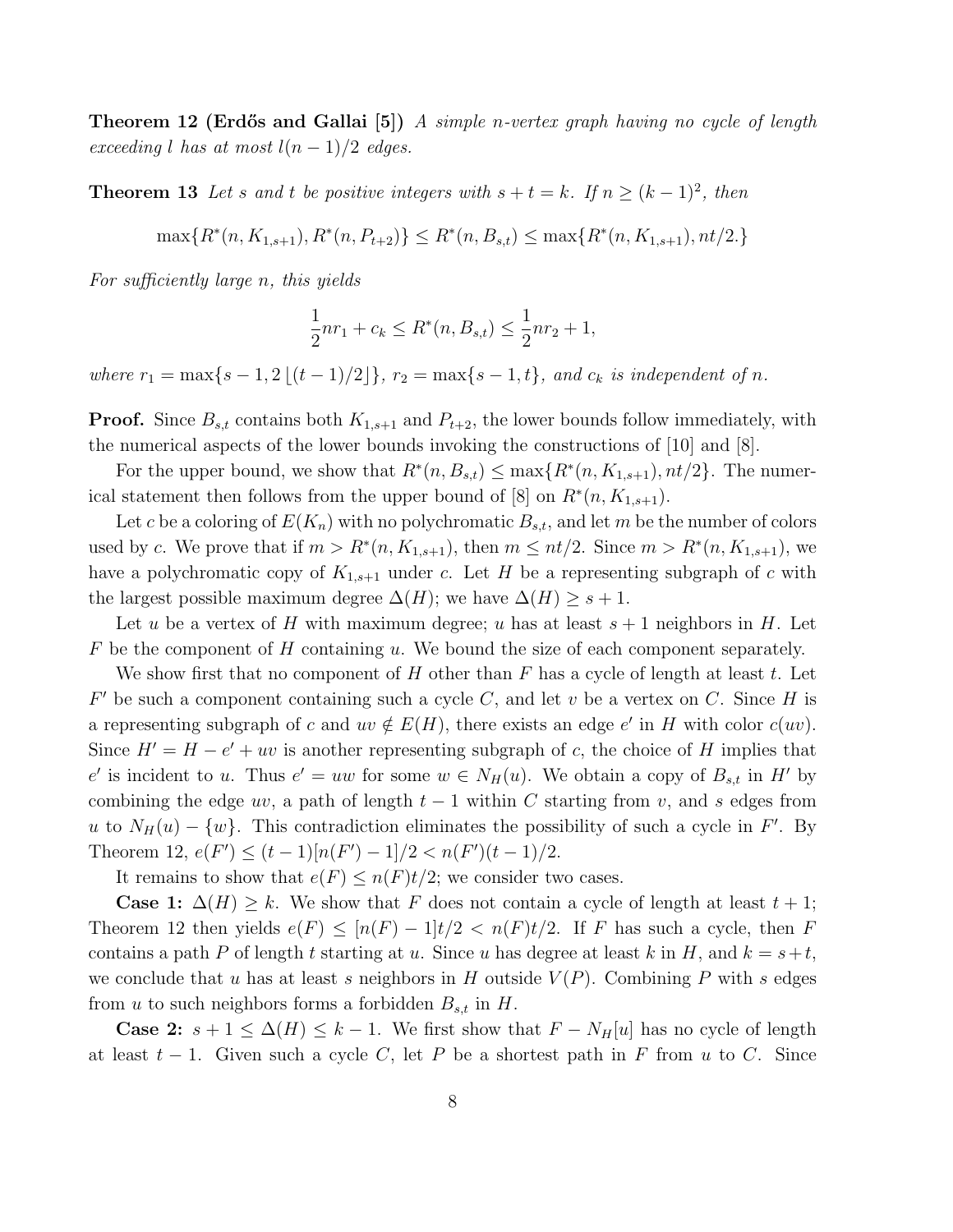**Theorem 12 (Erdős and Gallai** [5]) A simple n-vertex graph having no cycle of length exceeding l has at most  $l(n-1)/2$  edges.

**Theorem 13** Let s and t be positive integers with  $s + t = k$ . If  $n \ge (k-1)^2$ , then

 $\max\{R^*(n, K_{1,s+1}), R^*(n, P_{t+2})\} \leq R^*(n, B_{s,t}) \leq \max\{R^*(n, K_{1,s+1}), nt/2\}$ 

For sufficiently large n, this yields

$$
\frac{1}{2}nr_1 + c_k \le R^*(n, B_{s,t}) \le \frac{1}{2}nr_2 + 1,
$$

where  $r_1 = \max\{s - 1, 2 \lfloor (t - 1)/2 \rfloor\}, r_2 = \max\{s - 1, t\}, and c_k \text{ is independent of } n.$ 

**Proof.** Since  $B_{s,t}$  contains both  $K_{1,s+1}$  and  $P_{t+2}$ , the lower bounds follow immediately, with the numerical aspects of the lower bounds invoking the constructions of [10] and [8].

For the upper bound, we show that  $R^*(n, B_{s,t}) \le \max\{R^*(n, K_{1,s+1}), nt/2\}$ . The numerical statement then follows from the upper bound of [8] on  $R^*(n, K_{1,s+1})$ .

Let c be a coloring of  $E(K_n)$  with no polychromatic  $B_{s,t}$ , and let m be the number of colors used by c. We prove that if  $m > R^*(n, K_{1,s+1})$ , then  $m \leq nt/2$ . Since  $m > R^*(n, K_{1,s+1})$ , we have a polychromatic copy of  $K_{1,s+1}$  under c. Let H be a representing subgraph of c with the largest possible maximum degree  $\Delta(H)$ ; we have  $\Delta(H) \geq s+1$ .

Let u be a vertex of H with maximum degree; u has at least  $s + 1$  neighbors in H. Let  $F$  be the component of  $H$  containing  $u$ . We bound the size of each component separately.

We show first that no component of H other than  $F$  has a cycle of length at least  $t$ . Let  $F'$  be such a component containing such a cycle C, and let v be a vertex on C. Since H is a representing subgraph of c and  $uv \notin E(H)$ , there exists an edge e' in H with color  $c(uv)$ . Since  $H' = H - e' + uv$  is another representing subgraph of c, the choice of H implies that e' is incident to u. Thus  $e' = uw$  for some  $w \in N_H(u)$ . We obtain a copy of  $B_{s,t}$  in H' by combining the edge uv, a path of length  $t-1$  within C starting from v, and s edges from u to  $N_H(u) - \{w\}$ . This contradiction eliminates the possibility of such a cycle in F'. By Theorem 12,  $e(F') \le (t-1)[n(F') - 1]/2 < n(F')(t-1)/2$ .

It remains to show that  $e(F) \leq n(F)t/2$ ; we consider two cases.

**Case 1:**  $\Delta(H) \geq k$ . We show that F does not contain a cycle of length at least  $t + 1$ ; Theorem 12 then yields  $e(F) \leq [n(F) - 1]t/2 < n(F)t/2$ . If F has such a cycle, then F contains a path P of length t starting at u. Since u has degree at least k in H, and  $k = s+t$ , we conclude that u has at least s neighbors in H outside  $V(P)$ . Combining P with s edges from u to such neighbors forms a forbidden  $B_{s,t}$  in H.

**Case 2:**  $s + 1 \leq \Delta(H) \leq k - 1$ . We first show that  $F - N_H[u]$  has no cycle of length at least  $t-1$ . Given such a cycle C, let P be a shortest path in F from u to C. Since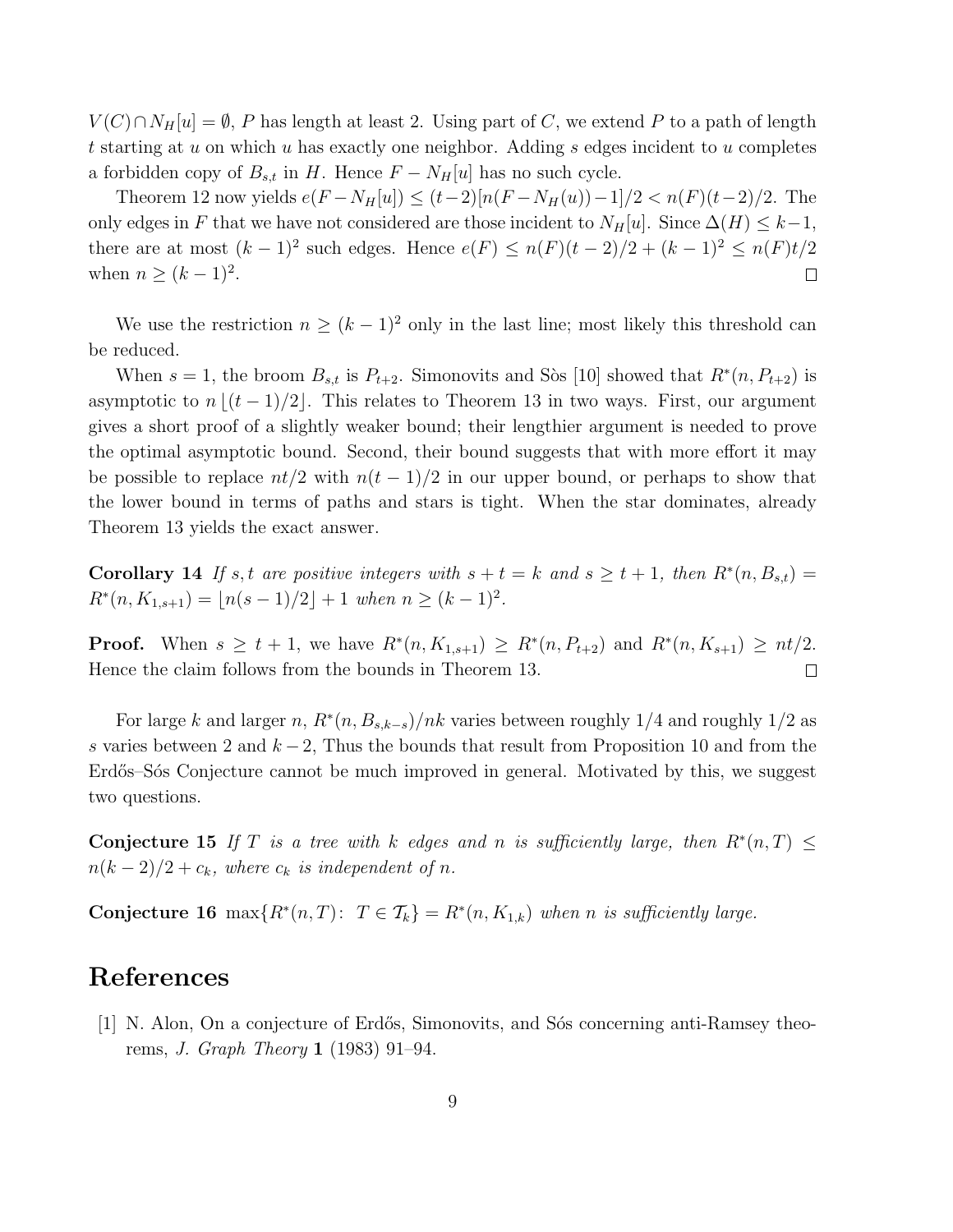$V(C) \cap N_H[u] = \emptyset$ , P has length at least 2. Using part of C, we extend P to a path of length t starting at u on which u has exactly one neighbor. Adding s edges incident to u completes a forbidden copy of  $B_{s,t}$  in H. Hence  $F - N_H[u]$  has no such cycle.

Theorem 12 now yields  $e(F - N_H[u]) \le (t-2)[n(F - N_H(u)) - 1]/2 < n(F)(t-2)/2$ . The only edges in F that we have not considered are those incident to  $N_H[u]$ . Since  $\Delta(H) \leq k-1$ , there are at most  $(k-1)^2$  such edges. Hence  $e(F) \leq n(F)(t-2)/2 + (k-1)^2 \leq n(F)t/2$ when  $n \geq (k-1)^2$ .  $\Box$ 

We use the restriction  $n \geq (k-1)^2$  only in the last line; most likely this threshold can be reduced.

When  $s = 1$ , the broom  $B_{s,t}$  is  $P_{t+2}$ . Simonovits and Sòs [10] showed that  $R^*(n, P_{t+2})$  is asymptotic to  $n \lfloor (t - 1)/2 \rfloor$ . This relates to Theorem 13 in two ways. First, our argument gives a short proof of a slightly weaker bound; their lengthier argument is needed to prove the optimal asymptotic bound. Second, their bound suggests that with more effort it may be possible to replace  $nt/2$  with  $n(t-1)/2$  in our upper bound, or perhaps to show that the lower bound in terms of paths and stars is tight. When the star dominates, already Theorem 13 yields the exact answer.

**Corollary 14** If s, t are positive integers with  $s + t = k$  and  $s \ge t + 1$ , then  $R^*(n, B_{s,t}) =$  $R^*(n, K_{1,s+1}) = \lfloor n(s-1)/2 \rfloor + 1$  when  $n \ge (k-1)^2$ .

**Proof.** When  $s \ge t + 1$ , we have  $R^*(n, K_{1,s+1}) \ge R^*(n, P_{t+2})$  and  $R^*(n, K_{s+1}) \ge nt/2$ . Hence the claim follows from the bounds in Theorem 13.  $\Box$ 

For large k and larger n,  $R^*(n, B_{s,k-s})/nk$  varies between roughly 1/4 and roughly 1/2 as s varies between 2 and  $k - 2$ , Thus the bounds that result from Proposition 10 and from the Erdős–Sós Conjecture cannot be much improved in general. Motivated by this, we suggest two questions.

Conjecture 15 If T is a tree with k edges and n is sufficiently large, then  $R^*(n,T) \leq$  $n(k-2)/2 + c_k$ , where  $c_k$  is independent of n.

Conjecture 16 max $\{R^*(n,T): T \in \mathcal{T}_k\} = R^*(n, K_{1,k})$  when n is sufficiently large.

### References

[1] N. Alon, On a conjecture of Erdős, Simonovits, and Sós concerning anti-Ramsey theorems, J. Graph Theory 1 (1983) 91–94.